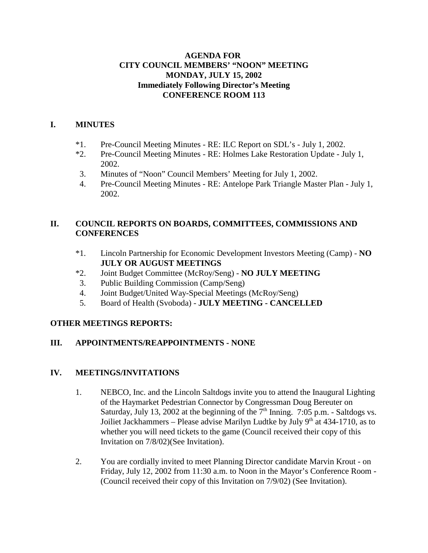### **AGENDA FOR CITY COUNCIL MEMBERS' "NOON" MEETING MONDAY, JULY 15, 2002 Immediately Following Director's Meeting CONFERENCE ROOM 113**

### **I. MINUTES**

- \*1. Pre-Council Meeting Minutes RE: ILC Report on SDL's July 1, 2002.
- \*2. Pre-Council Meeting Minutes RE: Holmes Lake Restoration Update July 1, 2002.
- 3. Minutes of "Noon" Council Members' Meeting for July 1, 2002.
- 4. Pre-Council Meeting Minutes RE: Antelope Park Triangle Master Plan July 1, 2002.

### **II. COUNCIL REPORTS ON BOARDS, COMMITTEES, COMMISSIONS AND CONFERENCES**

- \*1. Lincoln Partnership for Economic Development Investors Meeting (Camp) **NO JULY OR AUGUST MEETINGS**
- \*2. Joint Budget Committee (McRoy/Seng) **NO JULY MEETING**
- 3. Public Building Commission (Camp/Seng)
- 4. Joint Budget/United Way-Special Meetings (McRoy/Seng)
- 5. Board of Health (Svoboda) **JULY MEETING CANCELLED**

# **OTHER MEETINGS REPORTS:**

### **III. APPOINTMENTS/REAPPOINTMENTS - NONE**

### **IV. MEETINGS/INVITATIONS**

- 1. NEBCO, Inc. and the Lincoln Saltdogs invite you to attend the Inaugural Lighting of the Haymarket Pedestrian Connector by Congressman Doug Bereuter on Saturday, July 13, 2002 at the beginning of the  $7<sup>th</sup>$  Inning. 7:05 p.m. - Saltdogs vs. Joiliet Jackhammers – Please advise Marilyn Ludtke by July  $9<sup>th</sup>$  at 434-1710, as to whether you will need tickets to the game (Council received their copy of this Invitation on 7/8/02)(See Invitation).
- 2. You are cordially invited to meet Planning Director candidate Marvin Krout on Friday, July 12, 2002 from 11:30 a.m. to Noon in the Mayor's Conference Room - (Council received their copy of this Invitation on 7/9/02) (See Invitation).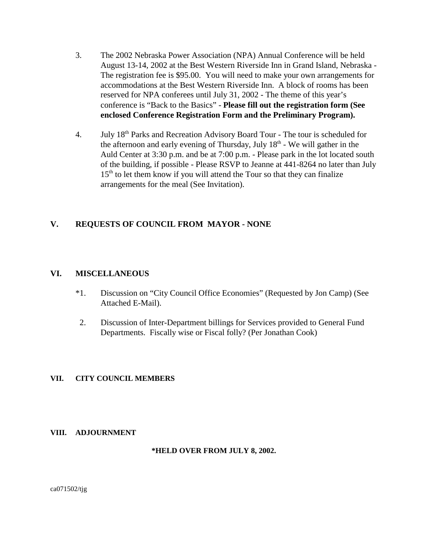- 3. The 2002 Nebraska Power Association (NPA) Annual Conference will be held August 13-14, 2002 at the Best Western Riverside Inn in Grand Island, Nebraska - The registration fee is \$95.00. You will need to make your own arrangements for accommodations at the Best Western Riverside Inn. A block of rooms has been reserved for NPA conferees until July 31, 2002 - The theme of this year's conference is "Back to the Basics" - **Please fill out the registration form (See enclosed Conference Registration Form and the Preliminary Program).**
- 4. July 18th Parks and Recreation Advisory Board Tour The tour is scheduled for the afternoon and early evening of Thursday, July  $18<sup>th</sup>$  - We will gather in the Auld Center at 3:30 p.m. and be at 7:00 p.m. - Please park in the lot located south of the building, if possible - Please RSVP to Jeanne at 441-8264 no later than July  $15<sup>th</sup>$  to let them know if you will attend the Tour so that they can finalize arrangements for the meal (See Invitation).

### **V. REQUESTS OF COUNCIL FROM MAYOR - NONE**

### **VI. MISCELLANEOUS**

- \*1. Discussion on "City Council Office Economies" (Requested by Jon Camp) (See Attached E-Mail).
- 2. Discussion of Inter-Department billings for Services provided to General Fund Departments. Fiscally wise or Fiscal folly? (Per Jonathan Cook)

#### **VII. CITY COUNCIL MEMBERS**

#### **VIII. ADJOURNMENT**

#### **\*HELD OVER FROM JULY 8, 2002.**

ca071502/tjg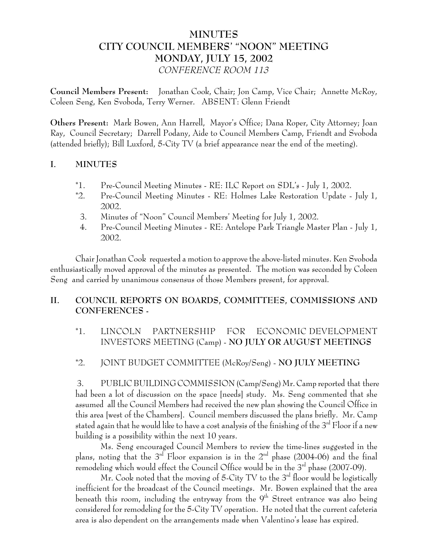# **MINUTES CITY COUNCIL MEMBERS' "NOON" MEETING MONDAY, JULY 15, 2002** *CONFERENCE ROOM 113*

**Council Members Present:** Jonathan Cook, Chair; Jon Camp, Vice Chair; Annette McRoy, Coleen Seng, Ken Svoboda, Terry Werner. ABSENT: Glenn Friendt

**Others Present:** Mark Bowen, Ann Harrell, Mayor's Office; Dana Roper, City Attorney; Joan Ray, Council Secretary; Darrell Podany, Aide to Council Members Camp, Friendt and Svoboda (attended briefly); Bill Luxford, 5-City TV (a brief appearance near the end of the meeting).

### **I. MINUTES**

- \*1. Pre-Council Meeting Minutes RE: ILC Report on SDL's July 1, 2002.
- \*2. Pre-Council Meeting Minutes RE: Holmes Lake Restoration Update July 1, 2002.
- 3. Minutes of "Noon" Council Members' Meeting for July 1, 2002.
- 4. Pre-Council Meeting Minutes RE: Antelope Park Triangle Master Plan July 1, 2002.

Chair Jonathan Cook requested a motion to approve the above-listed minutes. Ken Svoboda enthusiastically moved approval of the minutes as presented. The motion was seconded by Coleen Seng and carried by unanimous consensus of those Members present, for approval.

# **II. COUNCIL REPORTS ON BOARDS, COMMITTEES, COMMISSIONS AND CONFERENCES -**

\*1. LINCOLN PARTNERSHIP FOR ECONOMIC DEVELOPMENT INVESTORS MEETING (Camp) - **NO JULY OR AUGUST MEETINGS**

# \*2. JOINT BUDGET COMMITTEE (McRoy/Seng) - **NO JULY MEETING**

3. PUBLIC BUILDING COMMISSION (Camp/Seng) Mr. Camp reported that there had been a lot of discussion on the space [needs] study. Ms. Seng commented that she assumed all the Council Members had received the new plan showing the Council Office in this area [west of the Chambers]. Council members discussed the plans briefly. Mr. Camp stated again that he would like to have a cost analysis of the finishing of the  $3^{\rm rd}$  Floor if a new building is a possibility within the next 10 years.

Ms. Seng encouraged Council Members to review the time-lines suggested in the plans, noting that the  $3<sup>rd</sup>$  Floor expansion is in the  $2<sup>nd</sup>$  phase (2004-06) and the final remodeling which would effect the Council Office would be in the  $3<sup>rd</sup>$  phase (2007-09).

Mr. Cook noted that the moving of  $5$ -City TV to the  $3<sup>rd</sup>$  floor would be logistically inefficient for the broadcast of the Council meetings. Mr. Bowen explained that the area beneath this room, including the entryway from the  $9<sup>th</sup>$  Street entrance was also being considered for remodeling for the 5-City TV operation. He noted that the current cafeteria area is also dependent on the arrangements made when Valentino's lease has expired.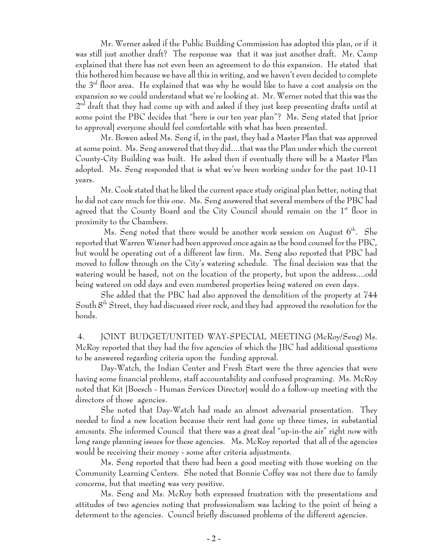Mr. Werner asked if the Public Building Commission has adopted this plan, or if it was still just another draft? The response was that it was just another draft. Mr. Camp explained that there has not even been an agreement to do this expansion. He stated that this bothered him because we have all this in writing, and we haven't even decided to complete the  $3<sup>rd</sup>$  floor area. He explained that was why he would like to have a cost analysis on the expansion so we could understand what we're looking at. Mr. Werner noted that this was the  $2<sup>nd</sup>$  draft that they had come up with and asked if they just keep presenting drafts until at some point the PBC decides that "here is our ten year plan"? Ms. Seng stated that [prior to approval] everyone should feel comfortable with what has been presented.

Mr. Bowen asked Ms. Seng if, in the past, they had a Master Plan that was approved at some point. Ms. Seng answered that they did....that was the Plan under which the current County-City Building was built. He asked then if eventually there will be a Master Plan adopted. Ms. Seng responded that is what we've been working under for the past 10-11 years.

Mr. Cook stated that he liked the current space study original plan better, noting that he did not care much for this one. Ms. Seng answered that several members of the PBC had agreed that the County Board and the City Council should remain on the  $1<sup>st</sup>$  floor in proximity to the Chambers.

Ms. Seng noted that there would be another work session on August  $6<sup>th</sup>$ . She reported that Warren Wisner had been approved once again as the bond counsel for the PBC, but would be operating out of a different law firm. Ms. Seng also reported that PBC had moved to follow through on the City's watering schedule. The final decision was that the watering would be based, not on the location of the property, but upon the address....odd being watered on odd days and even numbered properties being watered on even days.

She added that the PBC had also approved the demolition of the property at 744 South 8<sup>th</sup> Street, they had discussed river rock, and they had approved the resolution for the bonds.

4. JOINT BUDGET/UNITED WAY-SPECIAL MEETING (McRoy/Seng) Ms. McRoy reported that they had the five agencies of which the JBC had additional questions to be answered regarding criteria upon the funding approval.

Day-Watch, the Indian Center and Fresh Start were the three agencies that were having some financial problems, staff accountability and confused programing. Ms. McRoy noted that Kit [Boesch - Human Services Director] would do a follow-up meeting with the directors of those agencies.

She noted that Day-Watch had made an almost adversarial presentation. They needed to find a new location because their rent had gone up three times, in substantial amounts. She informed Council that there was a great deal "up-in-the air" right now with long range planning issues for these agencies. Ms. McRoy reported that all of the agencies would be receiving their money - some after criteria adjustments.

Ms. Seng reported that there had been a good meeting with those working on the Community Learning Centers. She noted that Bonnie Coffey was not there due to family concerns, but that meeting was very positive.

Ms. Seng and Ms. McRoy both expressed frustration with the presentations and attitudes of two agencies noting that professionalism was lacking to the point of being a determent to the agencies. Council briefly discussed problems of the different agencies.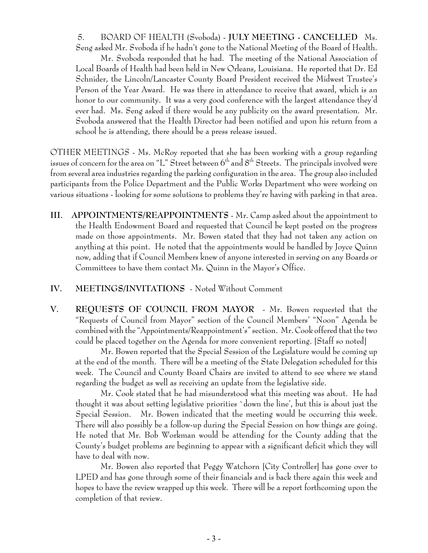5. BOARD OF HEALTH (Svoboda) - **JULY MEETING - CANCELLED** Ms. Seng asked Mr. Svoboda if he hadn't gone to the National Meeting of the Board of Health. Mr. Svoboda responded that he had. The meeting of the National Association of Local Boards of Health had been held in New Orleans, Louisiana. He reported that Dr. Ed Schnider, the Lincoln/Lancaster County Board President received the Midwest Trustee's Person of the Year Award. He was there in attendance to receive that award, which is an honor to our community. It was a very good conference with the largest attendance they'd ever had. Ms. Seng asked if there would be any publicity on the award presentation. Mr. Svoboda answered that the Health Director had been notified and upon his return from a school he is attending, there should be a press release issued.

OTHER MEETINGS - Ms. McRoy reported that she has been working with a group regarding issues of concern for the area on "L" Street between  $6<sup>th</sup>$  and  $8<sup>th</sup>$  Streets. The principals involved were from several area industries regarding the parking configuration in the area. The group also included participants from the Police Department and the Public Works Department who were working on various situations - looking for some solutions to problems they're having with parking in that area.

**III. APPOINTMENTS/REAPPOINTMENTS** - Mr. Camp asked about the appointment to the Health Endowment Board and requested that Council be kept posted on the progress made on those appointments. Mr. Bowen stated that they had not taken any action on anything at this point. He noted that the appointments would be handled by Joyce Quinn now, adding that if Council Members knew of anyone interested in serving on any Boards or Committees to have them contact Ms. Quinn in the Mayor's Office.

### **IV. MEETINGS/INVITATIONS** - Noted Without Comment

**V. REQUESTS OF COUNCIL FROM MAYOR** - Mr. Bowen requested that the "Requests of Council from Mayor" section of the Council Members' "Noon" Agenda be combined with the "Appointments/Reappointment's" section. Mr. Cook offered that the two could be placed together on the Agenda for more convenient reporting. [Staff so noted]

Mr. Bowen reported that the Special Session of the Legislature would be coming up at the end of the month. There will be a meeting of the State Delegation scheduled for this week. The Council and County Board Chairs are invited to attend to see where we stand regarding the budget as well as receiving an update from the legislative side.

Mr. Cook stated that he had misunderstood what this meeting was about. He had thought it was about setting legislative priorities `down the line', but this is about just the Special Session. Mr. Bowen indicated that the meeting would be occurring this week. There will also possibly be a follow-up during the Special Session on how things are going. He noted that Mr. Bob Workman would be attending for the County adding that the County's budget problems are beginning to appear with a significant deficit which they will have to deal with now.

Mr. Bowen also reported that Peggy Watchorn [City Controller] has gone over to LPED and has gone through some of their financials and is back there again this week and hopes to have the review wrapped up this week. There will be a report forthcoming upon the completion of that review.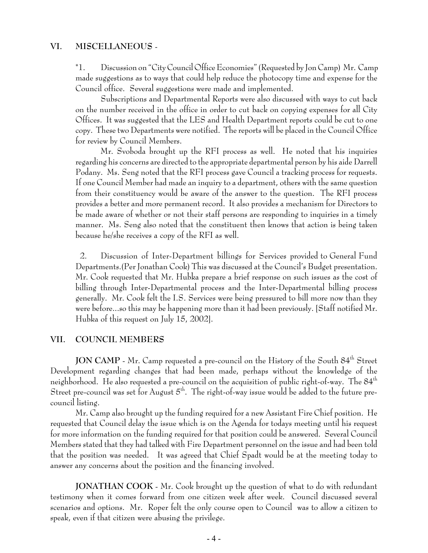### **VI. MISCELLANEOUS** -

\*1. Discussion on "City Council Office Economies" (Requested by Jon Camp) Mr. Camp made suggestions as to ways that could help reduce the photocopy time and expense for the Council office. Several suggestions were made and implemented.

Subscriptions and Departmental Reports were also discussed with ways to cut back on the number received in the office in order to cut back on copying expenses for all City Offices. It was suggested that the LES and Health Department reports could be cut to one copy. These two Departments were notified. The reports will be placed in the Council Office for review by Council Members.

Mr. Svoboda brought up the RFI process as well. He noted that his inquiries regarding his concerns are directed to the appropriate departmental person by his aide Darrell Podany. Ms. Seng noted that the RFI process gave Council a tracking process for requests. If one Council Member had made an inquiry to a department, others with the same question from their constituency would be aware of the answer to the question. The RFI process provides a better and more permanent record. It also provides a mechanism for Directors to be made aware of whether or not their staff persons are responding to inquiries in a timely manner. Ms. Seng also noted that the constituent then knows that action is being taken because he/she receives a copy of the RFI as well.

 2. Discussion of Inter-Department billings for Services provided to General Fund Departments.(Per Jonathan Cook) This was discussed at the Council's Budget presentation. Mr. Cook requested that Mr. Hubka prepare a brief response on such issues as the cost of billing through Inter-Departmental process and the Inter-Departmental billing process generally. Mr. Cook felt the I.S. Services were being pressured to bill more now than they were before...so this may be happening more than it had been previously. [Staff notified Mr. Hubka of this request on July 15, 2002].

### **VII. COUNCIL MEMBERS**

**JON CAMP** - Mr. Camp requested a pre-council on the History of the South 84<sup>th</sup> Street Development regarding changes that had been made, perhaps without the knowledge of the neighborhood. He also requested a pre-council on the acquisition of public right-of-way. The  $84<sup>th</sup>$ Street pre-council was set for August  $5<sup>th</sup>$ . The right-of-way issue would be added to the future precouncil listing.

Mr. Camp also brought up the funding required for a new Assistant Fire Chief position. He requested that Council delay the issue which is on the Agenda for todays meeting until his request for more information on the funding required for that position could be answered. Several Council Members stated that they had talked with Fire Department personnel on the issue and had been told that the position was needed. It was agreed that Chief Spadt would be at the meeting today to answer any concerns about the position and the financing involved.

**JONATHAN COOK** - Mr. Cook brought up the question of what to do with redundant testimony when it comes forward from one citizen week after week. Council discussed several scenarios and options. Mr. Roper felt the only course open to Council was to allow a citizen to speak, even if that citizen were abusing the privilege.